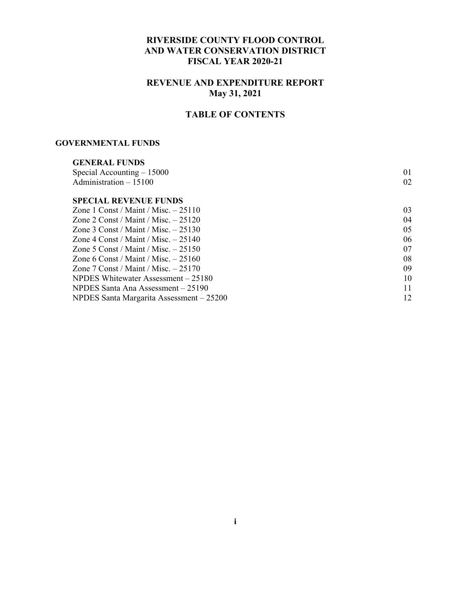#### **RIVERSIDE COUNTY FLOOD CONTROL AND WATER CONSERVATION DISTRICT FISCAL YEAR 2020-21**

#### **REVENUE AND EXPENDITURE REPORT May 31, 2021**

### **TABLE OF CONTENTS**

#### **GOVERNMENTAL FUNDS**

| <b>GENERAL FUNDS</b>                     |    |
|------------------------------------------|----|
| Special Accounting $-15000$              | 01 |
| Administration $-15100$                  | 02 |
| <b>SPECIAL REVENUE FUNDS</b>             |    |
| Zone 1 Const / Maint / Misc. $-25110$    | 03 |
| Zone 2 Const / Maint / Misc. $-25120$    | 04 |
| Zone 3 Const / Maint / Misc. $-25130$    | 05 |
| Zone 4 Const / Maint / Misc. $-25140$    | 06 |
| Zone 5 Const / Maint / Misc. $-25150$    | 07 |
| Zone 6 Const / Maint / Misc. $-25160$    | 08 |
| Zone 7 Const / Maint / Misc. $-25170$    | 09 |
| NPDES Whitewater Assessment – 25180      | 10 |
| NPDES Santa Ana Assessment – 25190       | 11 |
| NPDES Santa Margarita Assessment - 25200 | 12 |
|                                          |    |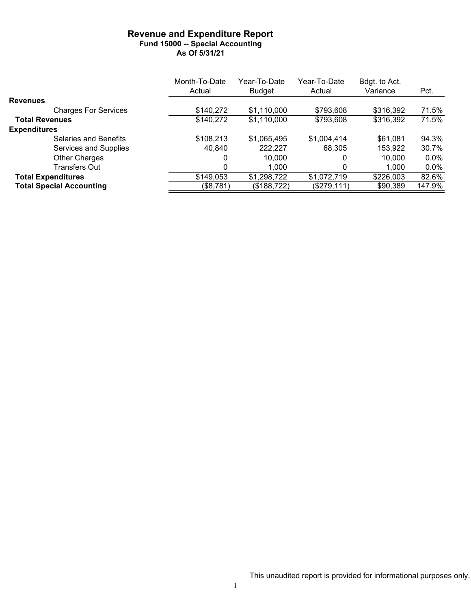#### **Revenue and Expenditure Report Fund 15000 -- Special Accounting As Of 5/31/21**

|                                 | Month-To-Date | Year-To-Date  | Year-To-Date | Bdgt. to Act. |         |
|---------------------------------|---------------|---------------|--------------|---------------|---------|
|                                 | Actual        | <b>Budget</b> | Actual       | Variance      | Pct.    |
| <b>Revenues</b>                 |               |               |              |               |         |
| <b>Charges For Services</b>     | \$140,272     | \$1,110,000   | \$793,608    | \$316,392     | 71.5%   |
| <b>Total Revenues</b>           | \$140,272     | \$1,110,000   | \$793,608    | \$316,392     | 71.5%   |
| <b>Expenditures</b>             |               |               |              |               |         |
| <b>Salaries and Benefits</b>    | \$108,213     | \$1,065,495   | \$1,004,414  | \$61,081      | 94.3%   |
| Services and Supplies           | 40,840        | 222,227       | 68.305       | 153,922       | 30.7%   |
| <b>Other Charges</b>            | 0             | 10,000        |              | 10.000        | $0.0\%$ |
| Transfers Out                   | 0             | 1,000         |              | 1,000         | $0.0\%$ |
| <b>Total Expenditures</b>       | \$149,053     | \$1,298,722   | \$1,072,719  | \$226,003     | 82.6%   |
| <b>Total Special Accounting</b> | (\$8,781)     | (\$188,722)   | (\$279, 111) | \$90,389      | 147.9%  |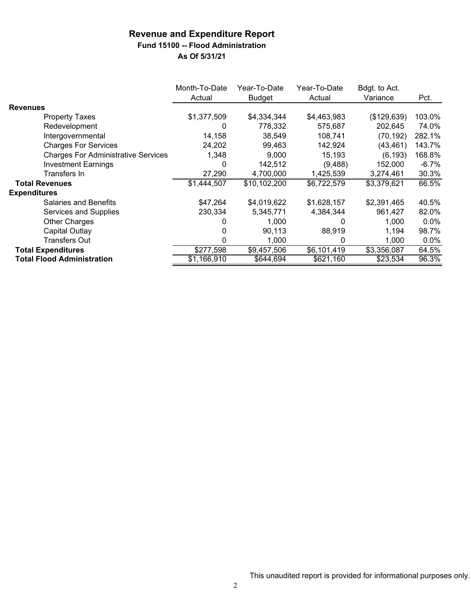## **Revenue and Expenditure Report Fund 15100 -- Flood Administration**

|                                            | Month-To-Date<br>Actual | Year-To-Date<br><b>Budget</b> | Year-To-Date<br>Actual | Bdgt. to Act.<br>Variance | Pct.    |
|--------------------------------------------|-------------------------|-------------------------------|------------------------|---------------------------|---------|
| <b>Revenues</b>                            |                         |                               |                        |                           |         |
| <b>Property Taxes</b>                      | \$1,377,509             | \$4,334,344                   | \$4,463,983            | (\$129,639)               | 103.0%  |
| Redevelopment                              | O                       | 778,332                       | 575,687                | 202,645                   | 74.0%   |
| Intergovernmental                          | 14,158                  | 38,549                        | 108,741                | (70,192)                  | 282.1%  |
| <b>Charges For Services</b>                | 24,202                  | 99.463                        | 142,924                | (43, 461)                 | 143.7%  |
| <b>Charges For Administrative Services</b> | 1,348                   | 9,000                         | 15,193                 | (6, 193)                  | 168.8%  |
| <b>Investment Earnings</b>                 | 0                       | 142,512                       | (9,488)                | 152,000                   | $-6.7%$ |
| Transfers In                               | 27,290                  | 4,700,000                     | 1,425,539              | 3,274,461                 | 30.3%   |
| <b>Total Revenues</b>                      | \$1,444,507             | \$10,102,200                  | \$6,722,579            | \$3,379,621               | 66.5%   |
| <b>Expenditures</b>                        |                         |                               |                        |                           |         |
| <b>Salaries and Benefits</b>               | \$47,264                | \$4,019,622                   | \$1,628,157            | \$2,391,465               | 40.5%   |
| Services and Supplies                      | 230,334                 | 5,345,771                     | 4,384,344              | 961,427                   | 82.0%   |
| <b>Other Charges</b>                       |                         | 1,000                         | O                      | 1,000                     | $0.0\%$ |
| Capital Outlay                             | 0                       | 90,113                        | 88,919                 | 1,194                     | 98.7%   |
| <b>Transfers Out</b>                       | O                       | 1,000                         | 0                      | 1,000                     | $0.0\%$ |
| <b>Total Expenditures</b>                  | \$277,598               | \$9,457,506                   | \$6,101,419            | \$3,356,087               | 64.5%   |
| <b>Total Flood Administration</b>          | \$1,166,910             | \$644,694                     | \$621,160              | \$23,534                  | 96.3%   |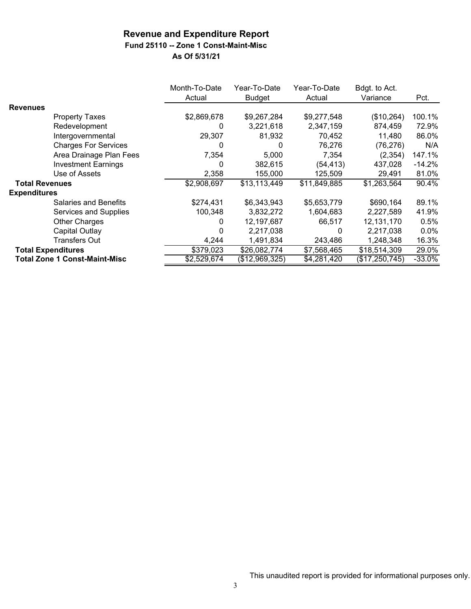## **Fund 25110 -- Zone 1 Const-Maint-Misc**

|                           |                                      | Month-To-Date<br>Actual | Year-To-Date<br><b>Budget</b> | Year-To-Date<br>Actual | Bdgt. to Act.<br>Variance | Pct.     |
|---------------------------|--------------------------------------|-------------------------|-------------------------------|------------------------|---------------------------|----------|
| <b>Revenues</b>           |                                      |                         |                               |                        |                           |          |
|                           | Property Taxes                       | \$2,869,678             | \$9,267,284                   | \$9,277,548            | (\$10,264)                | 100.1%   |
|                           | Redevelopment                        | 0                       | 3,221,618                     | 2,347,159              | 874,459                   | 72.9%    |
|                           | Intergovernmental                    | 29,307                  | 81,932                        | 70,452                 | 11,480                    | 86.0%    |
|                           | <b>Charges For Services</b>          | 0                       | 0                             | 76,276                 | (76, 276)                 | N/A      |
|                           | Area Drainage Plan Fees              | 7,354                   | 5,000                         | 7,354                  | (2, 354)                  | 147.1%   |
|                           | <b>Investment Earnings</b>           | 0                       | 382,615                       | (54, 413)              | 437,028                   | $-14.2%$ |
|                           | Use of Assets                        | 2,358                   | 155,000                       | 125,509                | 29,491                    | 81.0%    |
| <b>Total Revenues</b>     |                                      | \$2,908,697             | \$13,113,449                  | \$11,849,885           | \$1,263,564               | $90.4\%$ |
| <b>Expenditures</b>       |                                      |                         |                               |                        |                           |          |
|                           | <b>Salaries and Benefits</b>         | \$274,431               | \$6,343,943                   | \$5,653,779            | \$690,164                 | 89.1%    |
|                           | Services and Supplies                | 100,348                 | 3,832,272                     | 1,604,683              | 2,227,589                 | 41.9%    |
|                           | <b>Other Charges</b>                 | 0                       | 12,197,687                    | 66,517                 | 12,131,170                | 0.5%     |
|                           | <b>Capital Outlay</b>                |                         | 2,217,038                     | 0                      | 2,217,038                 | 0.0%     |
|                           | <b>Transfers Out</b>                 | 4,244                   | 1,491,834                     | 243,486                | 1,248,348                 | 16.3%    |
| <b>Total Expenditures</b> |                                      | \$379,023               | \$26,082,774                  | \$7,568,465            | \$18,514,309              | 29.0%    |
|                           | <b>Total Zone 1 Const-Maint-Misc</b> | \$2,529,674             | (\$12,969,325)                | \$4,281,420            | (\$17,250,745)            | $-33.0%$ |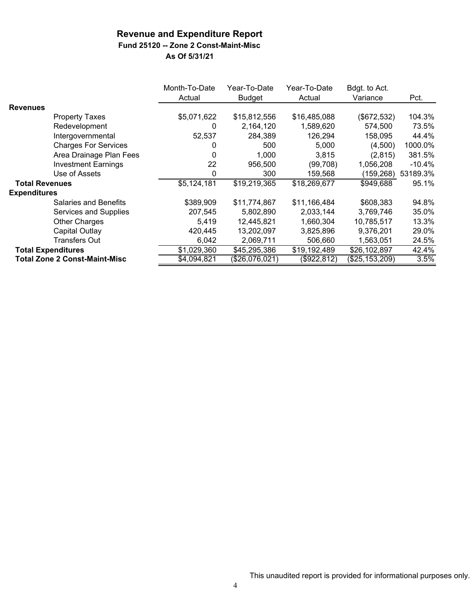## **Fund 25120 -- Zone 2 Const-Maint-Misc**

|                           |                                      | Month-To-Date<br>Actual | Year-To-Date<br>Budget | Year-To-Date<br>Actual | Bdgt. to Act.<br>Variance | Pct.      |
|---------------------------|--------------------------------------|-------------------------|------------------------|------------------------|---------------------------|-----------|
| <b>Revenues</b>           |                                      |                         |                        |                        |                           |           |
|                           | <b>Property Taxes</b>                | \$5,071,622             | \$15,812,556           | \$16,485,088           | (\$672,532)               | 104.3%    |
|                           | Redevelopment                        | 0                       | 2,164,120              | 1,589,620              | 574,500                   | 73.5%     |
|                           | Intergovernmental                    | 52,537                  | 284,389                | 126,294                | 158,095                   | 44.4%     |
|                           | <b>Charges For Services</b>          | 0                       | 500                    | 5,000                  | (4,500)                   | 1000.0%   |
|                           | Area Drainage Plan Fees              | 0                       | 1,000                  | 3,815                  | (2,815)                   | 381.5%    |
|                           | <b>Investment Earnings</b>           | 22                      | 956,500                | (99, 708)              | 1,056,208                 | $-10.4\%$ |
|                           | Use of Assets                        | 0                       | 300                    | 159,568                | (159, 268)                | 53189.3%  |
| <b>Total Revenues</b>     |                                      | \$5,124,181             | \$19,219,365           | \$18,269,677           | \$949,688                 | 95.1%     |
| <b>Expenditures</b>       |                                      |                         |                        |                        |                           |           |
|                           | <b>Salaries and Benefits</b>         | \$389,909               | \$11,774,867           | \$11,166,484           | \$608,383                 | 94.8%     |
|                           | Services and Supplies                | 207,545                 | 5,802,890              | 2,033,144              | 3,769,746                 | 35.0%     |
|                           | <b>Other Charges</b>                 | 5,419                   | 12,445,821             | 1,660,304              | 10,785,517                | 13.3%     |
|                           | Capital Outlay                       | 420,445                 | 13,202,097             | 3,825,896              | 9,376,201                 | 29.0%     |
|                           | Transfers Out                        | 6,042                   | 2,069,711              | 506,660                | 1,563,051                 | 24.5%     |
| <b>Total Expenditures</b> |                                      | \$1,029,360             | \$45,295,386           | \$19,192,489           | \$26,102,897              | 42.4%     |
|                           | <b>Total Zone 2 Const-Maint-Misc</b> | \$4,094,821             | (\$26,076,021)         | (\$922,812)            | (\$25,153,209)            | 3.5%      |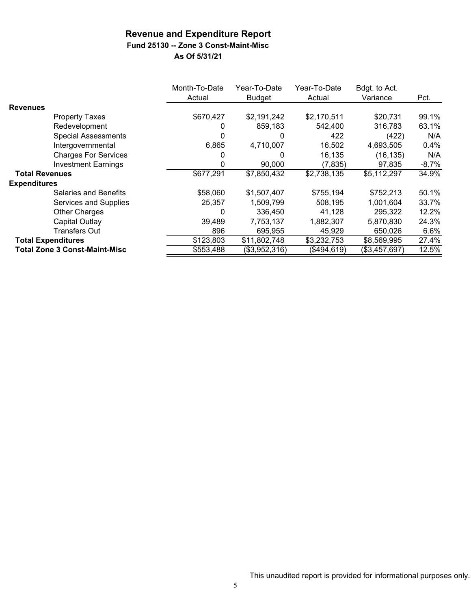### **Revenue and Expenditure Report Fund 25130 -- Zone 3 Const-Maint-Misc**

|                               |                             | Month-To-Date<br>Actual | Year-To-Date<br><b>Budget</b> | Year-To-Date<br>Actual | Bdgt. to Act.<br>Variance | Pct.     |
|-------------------------------|-----------------------------|-------------------------|-------------------------------|------------------------|---------------------------|----------|
| <b>Revenues</b>               |                             |                         |                               |                        |                           |          |
| <b>Property Taxes</b>         |                             | \$670,427               | \$2,191,242                   | \$2,170,511            | \$20,731                  | 99.1%    |
| Redevelopment                 |                             |                         | 859,183                       | 542,400                | 316,783                   | 63.1%    |
| <b>Special Assessments</b>    |                             | 0                       | 0                             | 422                    | (422)                     | N/A      |
| Intergovernmental             |                             | 6,865                   | 4,710,007                     | 16,502                 | 4,693,505                 | 0.4%     |
|                               | <b>Charges For Services</b> |                         | 0                             | 16,135                 | (16, 135)                 | N/A      |
| <b>Investment Earnings</b>    |                             | 0                       | 90,000                        | (7, 835)               | 97,835                    | $-8.7\%$ |
| <b>Total Revenues</b>         |                             | \$677,291               | \$7,850,432                   | \$2,738,135            | \$5,112,297               | 34.9%    |
| <b>Expenditures</b>           |                             |                         |                               |                        |                           |          |
| Salaries and Benefits         |                             | \$58,060                | \$1,507,407                   | \$755,194              | \$752,213                 | 50.1%    |
|                               | Services and Supplies       | 25,357                  | 1,509,799                     | 508,195                | 1.001.604                 | 33.7%    |
| Other Charges                 |                             | 0                       | 336,450                       | 41,128                 | 295,322                   | 12.2%    |
| Capital Outlay                |                             | 39,489                  | 7,753,137                     | 1,882,307              | 5,870,830                 | 24.3%    |
| <b>Transfers Out</b>          |                             | 896                     | 695,955                       | 45,929                 | 650,026                   | 6.6%     |
| <b>Total Expenditures</b>     |                             | \$123,803               | \$11,802,748                  | \$3,232,753            | \$8,569,995               | 27.4%    |
| Total Zone 3 Const-Maint-Misc |                             | \$553,488               | (\$3,952,316)                 | (\$494,619)            | (\$3,457,697)             | 12.5%    |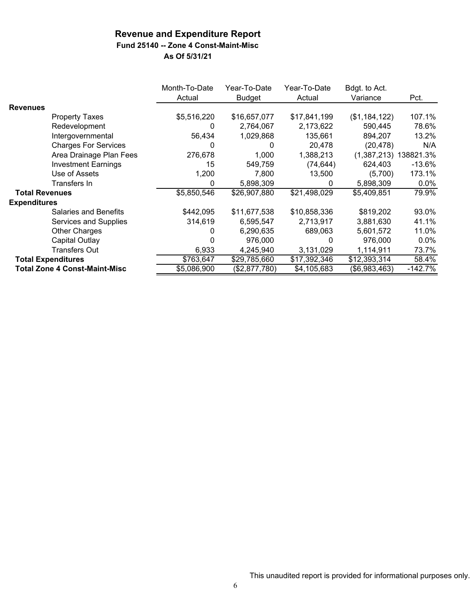**Fund 25140 -- Zone 4 Const-Maint-Misc**

|                           |                                      | Month-To-Date<br>Actual | Year-To-Date<br>Budget | Year-To-Date<br>Actual | Bdgt. to Act.<br>Variance | Pct.      |
|---------------------------|--------------------------------------|-------------------------|------------------------|------------------------|---------------------------|-----------|
| <b>Revenues</b>           |                                      |                         |                        |                        |                           |           |
|                           | <b>Property Taxes</b>                | \$5,516,220             | \$16,657,077           | \$17,841,199           | (\$1,184,122)             | 107.1%    |
|                           | Redevelopment                        | 0                       | 2,764,067              | 2,173,622              | 590,445                   | 78.6%     |
|                           | Intergovernmental                    | 56,434                  | 1,029,868              | 135,661                | 894,207                   | 13.2%     |
|                           | <b>Charges For Services</b>          | 0                       | 0                      | 20,478                 | (20, 478)                 | N/A       |
|                           | Area Drainage Plan Fees              | 276,678                 | 1,000                  | 1,388,213              | (1,387,213)               | 138821.3% |
|                           | <b>Investment Earnings</b>           | 15                      | 549,759                | (74, 644)              | 624,403                   | $-13.6%$  |
|                           | Use of Assets                        | 1,200                   | 7,800                  | 13,500                 | (5,700)                   | 173.1%    |
|                           | Transfers In                         | 0                       | 5,898,309              | 0                      | 5,898,309                 | $0.0\%$   |
| <b>Total Revenues</b>     |                                      | \$5,850,546             | \$26,907,880           | \$21,498,029           | \$5,409,851               | 79.9%     |
| <b>Expenditures</b>       |                                      |                         |                        |                        |                           |           |
|                           | <b>Salaries and Benefits</b>         | \$442,095               | \$11,677,538           | \$10,858,336           | \$819,202                 | 93.0%     |
|                           | Services and Supplies                | 314,619                 | 6,595,547              | 2,713,917              | 3,881,630                 | 41.1%     |
|                           | <b>Other Charges</b>                 | O                       | 6,290,635              | 689,063                | 5,601,572                 | 11.0%     |
|                           | Capital Outlay                       |                         | 976,000                | 0                      | 976,000                   | $0.0\%$   |
|                           | <b>Transfers Out</b>                 | 6,933                   | 4,245,940              | 3,131,029              | 1,114,911                 | 73.7%     |
| <b>Total Expenditures</b> |                                      | \$763,647               | \$29,785,660           | \$17,392,346           | \$12,393,314              | 58.4%     |
|                           | <b>Total Zone 4 Const-Maint-Misc</b> | \$5,086,900             | (\$2,877,780)          | \$4,105,683            | (\$6,983,463)             | $-142.7%$ |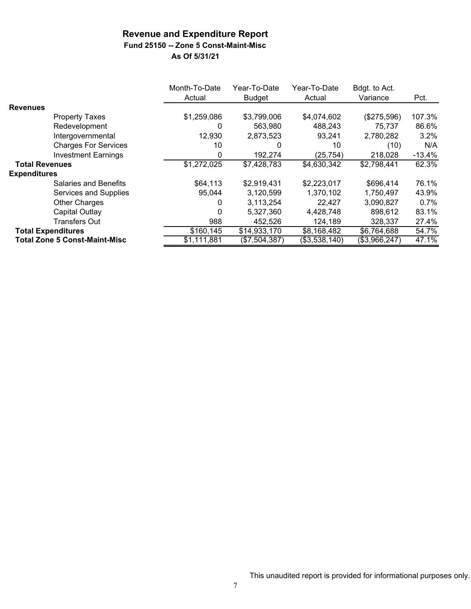### **Fund 25150 -- Zone 5 Const-Maint-Misc**

|                                      | Month-To-Date<br>Actual | Year-To-Date<br><b>Budget</b> | Year-To-Date<br>Actual | Bdgt. to Act.<br>Variance | Pct.     |
|--------------------------------------|-------------------------|-------------------------------|------------------------|---------------------------|----------|
| <b>Revenues</b>                      |                         |                               |                        |                           |          |
| <b>Property Taxes</b>                | \$1,259,086             | \$3,799,006                   | \$4,074,602            | (\$275,596)               | 107.3%   |
| Redevelopment                        | 0                       | 563,980                       | 488,243                | 75,737                    | 86.6%    |
| Intergovernmental                    | 12,930                  | 2,873,523                     | 93,241                 | 2,780,282                 | 3.2%     |
| <b>Charges For Services</b>          | 10                      | O                             | 10                     | (10)                      | N/A      |
| <b>Investment Earnings</b>           | 0                       | 192,274                       | (25, 754)              | 218,028                   | $-13.4%$ |
| <b>Total Revenues</b>                | \$1,272,025             | \$7,428,783                   | \$4,630,342            | \$2,798,441               | 62.3%    |
| <b>Expenditures</b>                  |                         |                               |                        |                           |          |
| Salaries and Benefits                | \$64,113                | \$2,919,431                   | \$2,223,017            | \$696,414                 | 76.1%    |
| Services and Supplies                | 95,044                  | 3,120,599                     | 1,370,102              | 1,750,497                 | 43.9%    |
| <b>Other Charges</b>                 | 0                       | 3,113,254                     | 22,427                 | 3,090,827                 | 0.7%     |
| Capital Outlay                       | $\Omega$                | 5,327,360                     | 4,428,748              | 898,612                   | 83.1%    |
| <b>Transfers Out</b>                 | 988                     | 452,526                       | 124,189                | 328,337                   | 27.4%    |
| <b>Total Expenditures</b>            | \$160,145               | \$14,933,170                  | \$8,168,482            | \$6,764,688               | 54.7%    |
| <b>Total Zone 5 Const-Maint-Misc</b> | \$1,111,881             | $($ \$7,504,387)              | (\$3,538,140)          | (\$3,966,247)             | 47.1%    |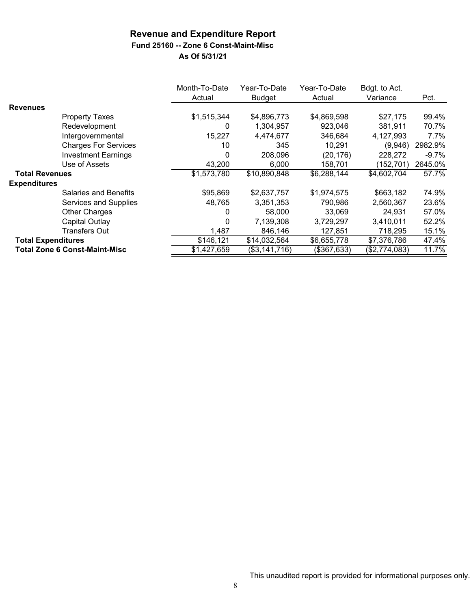## **Revenue and Expenditure Report Fund 25160 -- Zone 6 Const-Maint-Misc**

|                           |                                      | Month-To-Date<br>Actual | Year-To-Date<br><b>Budget</b> | Year-To-Date<br>Actual | Bdgt. to Act.<br>Variance |          |
|---------------------------|--------------------------------------|-------------------------|-------------------------------|------------------------|---------------------------|----------|
| <b>Revenues</b>           |                                      |                         |                               |                        |                           | Pct.     |
|                           |                                      |                         |                               |                        |                           |          |
|                           | <b>Property Taxes</b>                | \$1,515,344             | \$4,896,773                   | \$4,869,598            | \$27,175                  | 99.4%    |
|                           | Redevelopment                        | 0                       | 1,304,957                     | 923,046                | 381,911                   | 70.7%    |
|                           | Intergovernmental                    | 15,227                  | 4,474,677                     | 346,684                | 4,127,993                 | 7.7%     |
|                           | <b>Charges For Services</b>          | 10                      | 345                           | 10,291                 | (9,946)                   | 2982.9%  |
|                           | <b>Investment Earnings</b>           | 0                       | 208,096                       | (20, 176)              | 228,272                   | $-9.7\%$ |
|                           | Use of Assets                        | 43,200                  | 6,000                         | 158,701                | (152, 701)                | 2645.0%  |
| <b>Total Revenues</b>     |                                      | \$1,573,780             | \$10,890,848                  | \$6,288,144            | \$4,602,704               | 57.7%    |
| <b>Expenditures</b>       |                                      |                         |                               |                        |                           |          |
|                           | Salaries and Benefits                | \$95,869                | \$2,637,757                   | \$1,974,575            | \$663,182                 | 74.9%    |
|                           | Services and Supplies                | 48,765                  | 3,351,353                     | 790,986                | 2,560,367                 | 23.6%    |
|                           | <b>Other Charges</b>                 | 0                       | 58,000                        | 33.069                 | 24.931                    | 57.0%    |
|                           | Capital Outlay                       | 0                       | 7,139,308                     | 3,729,297              | 3,410,011                 | 52.2%    |
|                           | Transfers Out                        | 1,487                   | 846,146                       | 127,851                | 718,295                   | 15.1%    |
| <b>Total Expenditures</b> |                                      | \$146,121               | \$14,032,564                  | \$6,655,778            | \$7,376,786               | 47.4%    |
|                           | <b>Total Zone 6 Const-Maint-Misc</b> | \$1,427,659             | $($3,141,7\overline{16})$     | (\$367,633)            | (\$2,774,083)             | 11.7%    |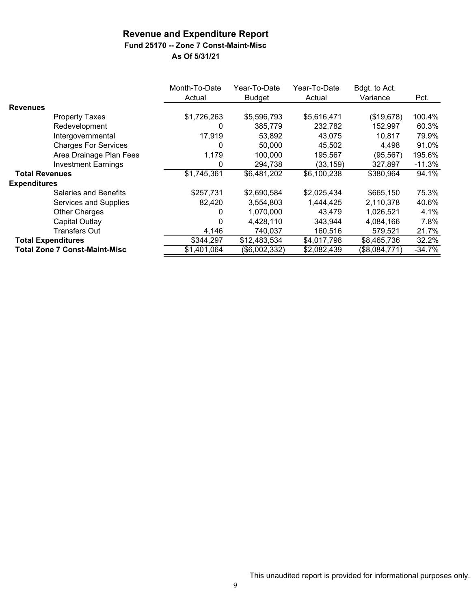### **Fund 25170 -- Zone 7 Const-Maint-Misc**

|                                      | Month-To-Date<br>Actual | Year-To-Date<br><b>Budget</b> | Year-To-Date<br>Actual | Bdgt. to Act.<br>Variance | Pct.     |
|--------------------------------------|-------------------------|-------------------------------|------------------------|---------------------------|----------|
| <b>Revenues</b>                      |                         |                               |                        |                           |          |
| <b>Property Taxes</b>                | \$1,726,263             | \$5,596,793                   | \$5,616,471            | (\$19,678)                | 100.4%   |
| Redevelopment                        | 0                       | 385,779                       | 232,782                | 152,997                   | 60.3%    |
| Intergovernmental                    | 17,919                  | 53,892                        | 43,075                 | 10,817                    | 79.9%    |
| <b>Charges For Services</b>          | 0                       | 50,000                        | 45,502                 | 4,498                     | 91.0%    |
| Area Drainage Plan Fees              | 1,179                   | 100,000                       | 195,567                | (95, 567)                 | 195.6%   |
| <b>Investment Earnings</b>           | 0                       | 294,738                       | (33, 159)              | 327,897                   | $-11.3%$ |
| <b>Total Revenues</b>                | \$1,745,361             | \$6,481,202                   | \$6,100,238            | \$380,964                 | 94.1%    |
| <b>Expenditures</b>                  |                         |                               |                        |                           |          |
| Salaries and Benefits                | \$257,731               | \$2,690,584                   | \$2,025,434            | \$665,150                 | 75.3%    |
| Services and Supplies                | 82,420                  | 3,554,803                     | 1,444,425              | 2,110,378                 | 40.6%    |
| <b>Other Charges</b>                 | 0                       | 1,070,000                     | 43,479                 | 1,026,521                 | 4.1%     |
| Capital Outlay                       | 0                       | 4,428,110                     | 343.944                | 4,084,166                 | 7.8%     |
| <b>Transfers Out</b>                 | 4,146                   | 740,037                       | 160,516                | 579,521                   | 21.7%    |
| <b>Total Expenditures</b>            | \$344,297               | \$12,483,534                  | \$4,017,798            | \$8,465,736               | 32.2%    |
| <b>Total Zone 7 Const-Maint-Misc</b> | \$1,401,064             | (\$6,002,332)                 | \$2,082,439            | (\$8,084,771)             | $-34.7%$ |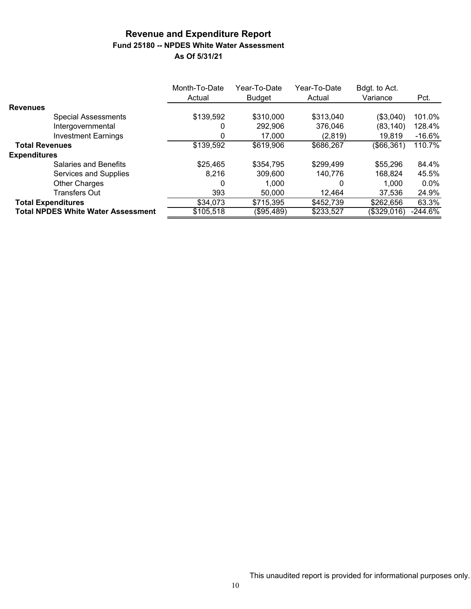#### **Revenue and Expenditure Report Fund 25180 -- NPDES White Water Assessment As Of 5/31/21**

|                       |                                           | Month-To-Date<br>Actual | Year-To-Date<br><b>Budget</b> | Year-To-Date<br>Actual | Bdgt. to Act.<br>Variance | Pct.      |
|-----------------------|-------------------------------------------|-------------------------|-------------------------------|------------------------|---------------------------|-----------|
| <b>Revenues</b>       |                                           |                         |                               |                        |                           |           |
|                       | <b>Special Assessments</b>                | \$139,592               | \$310,000                     | \$313,040              | (\$3,040)                 | 101.0%    |
|                       | Intergovernmental                         | 0                       | 292,906                       | 376.046                | (83,140)                  | 128.4%    |
|                       | <b>Investment Earnings</b>                | 0                       | 17,000                        | (2,819)                | 19,819                    | $-16.6%$  |
| <b>Total Revenues</b> |                                           | \$139,592               | \$619,906                     | \$686,267              | (\$66,361)                | 110.7%    |
| <b>Expenditures</b>   |                                           |                         |                               |                        |                           |           |
|                       | Salaries and Benefits                     | \$25,465                | \$354,795                     | \$299,499              | \$55,296                  | 84.4%     |
|                       | Services and Supplies                     | 8.216                   | 309,600                       | 140.776                | 168,824                   | 45.5%     |
|                       | <b>Other Charges</b>                      | 0                       | 1.000                         | 0                      | 1.000                     | $0.0\%$   |
|                       | <b>Transfers Out</b>                      | 393                     | 50,000                        | 12.464                 | 37.536                    | 24.9%     |
|                       | <b>Total Expenditures</b>                 | \$34,073                | \$715,395                     | \$452,739              | \$262,656                 | 63.3%     |
|                       | <b>Total NPDES White Water Assessment</b> | \$105,518               | (\$95,489)                    | \$233,527              | (\$329,016)               | $-244.6%$ |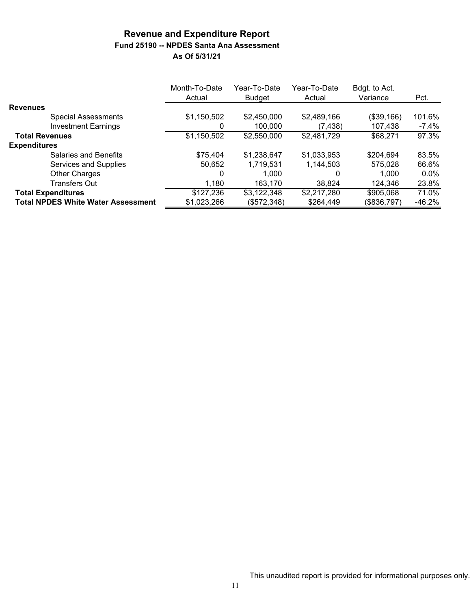#### **Revenue and Expenditure Report Fund 25190 -- NPDES Santa Ana Assessment As Of 5/31/21**

|                                           | Month-To-Date<br>Actual | Year-To-Date<br>Budget | Year-To-Date<br>Actual | Bdgt. to Act.<br>Variance | Pct.     |
|-------------------------------------------|-------------------------|------------------------|------------------------|---------------------------|----------|
| <b>Revenues</b>                           |                         |                        |                        |                           |          |
| <b>Special Assessments</b>                | \$1,150,502             | \$2,450,000            | \$2,489,166            | (\$39,166)                | 101.6%   |
| <b>Investment Earnings</b>                | 0                       | 100,000                | (7,438)                | 107,438                   | $-7.4\%$ |
| <b>Total Revenues</b>                     | \$1,150,502             | \$2,550,000            | \$2,481,729            | \$68,271                  | 97.3%    |
| <b>Expenditures</b>                       |                         |                        |                        |                           |          |
| <b>Salaries and Benefits</b>              | \$75,404                | \$1,238,647            | \$1,033,953            | \$204,694                 | 83.5%    |
| Services and Supplies                     | 50,652                  | 1,719,531              | 1,144,503              | 575,028                   | 66.6%    |
| <b>Other Charges</b>                      | 0                       | 1.000                  |                        | 1.000                     | $0.0\%$  |
| <b>Transfers Out</b>                      | 1,180                   | 163,170                | 38.824                 | 124,346                   | 23.8%    |
| <b>Total Expenditures</b>                 | \$127,236               | \$3,122,348            | \$2,217,280            | \$905,068                 | 71.0%    |
| <b>Total NPDES White Water Assessment</b> | \$1,023,266             | (\$572,348)            | \$264,449              | (\$836,797)               | $-46.2%$ |